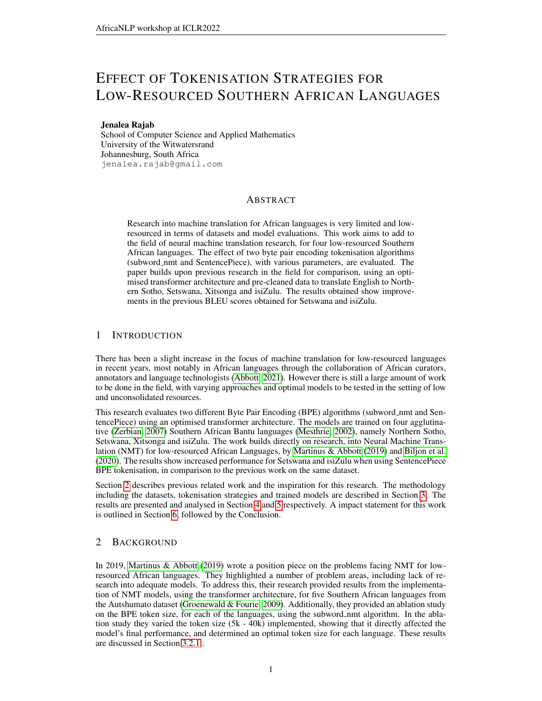# EFFECT OF TOKENISATION STRATEGIES FOR LOW-RESOURCED SOUTHERN AFRICAN LANGUAGES

#### Jenalea Rajab

School of Computer Science and Applied Mathematics University of the Witwatersrand Johannesburg, South Africa jenalea.rajab@gmail.com

#### ABSTRACT

Research into machine translation for African languages is very limited and lowresourced in terms of datasets and model evaluations. This work aims to add to the field of neural machine translation research, for four low-resourced Southern African languages. The effect of two byte pair encoding tokenisation algorithms (subword nmt and SentencePiece), with various parameters, are evaluated. The paper builds upon previous research in the field for comparison, using an optimised transformer architecture and pre-cleaned data to translate English to Northern Sotho, Setswana, Xitsonga and isiZulu. The results obtained show improvements in the previous BLEU scores obtained for Setswana and isiZulu.

## 1 INTRODUCTION

There has been a slight increase in the focus of machine translation for low-resourced languages in recent years, most notably in African languages through the collaboration of African curators, annotators and language technologists [\(Abbott, 2021\)](#page-5-0). However there is still a large amount of work to be done in the field, with varying approaches and optimal models to be tested in the setting of low and unconsolidated resources.

This research evaluates two different Byte Pair Encoding (BPE) algorithms (subword\_nmt and SentencePiece) using an optimised transformer architecture. The models are trained on four agglutinative [\(Zerbian, 2007\)](#page-6-0) Southern African Bantu languages [\(Mesthrie, 2002\)](#page-6-1), namely Northern Sotho, Setswana, Xitsonga and isiZulu. The work builds directly on research, into Neural Machine Translation (NMT) for low-resourced African Languages, by [Martinus & Abbott](#page-5-1) [\(2019\)](#page-5-1) and [Biljon et al.](#page-5-2) [\(2020\)](#page-5-2). The results show increased performance for Setswana and isiZulu when using SentencePiece BPE tokenisation, in comparison to the previous work on the same dataset.

Section [2](#page-0-0) describes previous related work and the inspiration for this research. The methodology including the datasets, tokenisation strategies and trained models are described in Section [3.](#page-1-0) The results are presented and analysed in Section [4](#page-3-0) and [5](#page-4-0) respectively. A impact statement for this work is outlined in Section [6,](#page-4-1) followed by the Conclusion.

## <span id="page-0-0"></span>2 BACKGROUND

In 2019, [Martinus & Abbott](#page-5-1) [\(2019\)](#page-5-1) wrote a position piece on the problems facing NMT for lowresourced African languages. They highlighted a number of problem areas, including lack of research into adequate models. To address this, their research provided results from the implementation of NMT models, using the transformer architecture, for five Southern African languages from the Autshumato dataset (Groenewald  $&$  Fourie, 2009). Additionally, they provided an ablation study on the BPE token size, for each of the languages, using the subword nmt algorithm. In the ablation study they varied the token size (5k - 40k) implemented, showing that it directly affected the model's final performance, and determined an optimal token size for each language. These results are discussed in Section [3.2.1](#page-2-0) .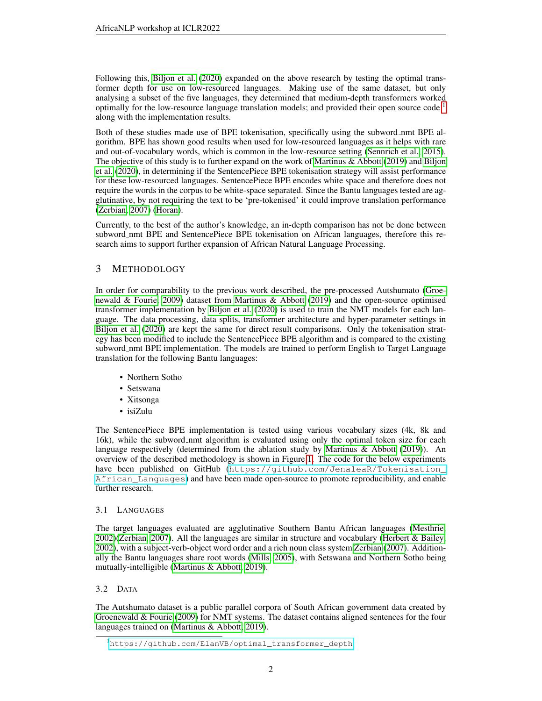Following this, [Biljon et al.](#page-5-2) [\(2020\)](#page-5-2) expanded on the above research by testing the optimal transformer depth for use on low-resourced languages. Making use of the same dataset, but only analysing a subset of the five languages, they determined that medium-depth transformers worked optimally for the low-resource language translation models; and provided their open source code  $1$ along with the implementation results.

Both of these studies made use of BPE tokenisation, specifically using the subword nmt BPE algorithm. BPE has shown good results when used for low-resourced languages as it helps with rare and out-of-vocabulary words, which is common in the low-resource setting [\(Sennrich et al., 2015\)](#page-6-2). The objective of this study is to further expand on the work of [Martinus & Abbott](#page-5-1) [\(2019\)](#page-5-1) and [Biljon](#page-5-2) [et al.](#page-5-2) [\(2020\)](#page-5-2), in determining if the SentencePiece BPE tokenisation strategy will assist performance for these low-resourced languages. SentencePiece BPE encodes white space and therefore does not require the words in the corpus to be white-space separated. Since the Bantu languages tested are agglutinative, by not requiring the text to be 'pre-tokenised' it could improve translation performance [\(Zerbian, 2007\)](#page-6-0) [\(Horan\)](#page-5-4).

Currently, to the best of the author's knowledge, an in-depth comparison has not be done between subword\_nmt BPE and SentencePiece BPE tokenisation on African languages, therefore this research aims to support further expansion of African Natural Language Processing.

## <span id="page-1-0"></span>3 METHODOLOGY

In order for comparability to the previous work described, the pre-processed Autshumato [\(Groe](#page-5-3)[newald & Fourie, 2009\)](#page-5-3) dataset from [Martinus & Abbott](#page-5-1) [\(2019\)](#page-5-1) and the open-source optimised transformer implementation by [Biljon et al.](#page-5-2) [\(2020\)](#page-5-2) is used to train the NMT models for each language. The data processing, data splits, transformer architecture and hyper-parameter settings in [Biljon et al.](#page-5-2) [\(2020\)](#page-5-2) are kept the same for direct result comparisons. Only the tokenisation strategy has been modified to include the SentencePiece BPE algorithm and is compared to the existing subword nmt BPE implementation. The models are trained to perform English to Target Language translation for the following Bantu languages:

- Northern Sotho
- Setswana
- Xitsonga
- isiZulu

The SentencePiece BPE implementation is tested using various vocabulary sizes (4k, 8k and 16k), while the subword nmt algorithm is evaluated using only the optimal token size for each language respectively (determined from the ablation study by Martinus  $\&$  Abbott [\(2019\)](#page-5-1)). An overview of the described methodology is shown in Figure [1.](#page-2-1) The code for the below experiments have been published on GitHub ([https://github.com/JenaleaR/Tokenisation\\_](https://github.com/JenaleaR/Tokenisation_African_Languages) [African\\_Languages](https://github.com/JenaleaR/Tokenisation_African_Languages)) and have been made open-source to promote reproducibility, and enable further research.

#### 3.1 LANGUAGES

The target languages evaluated are agglutinative Southern Bantu African languages [\(Mesthrie,](#page-6-1) [2002\)](#page-6-1)[\(Zerbian, 2007\)](#page-6-0). All the languages are similar in structure and vocabulary [\(Herbert & Bailey,](#page-5-5) [2002\)](#page-5-5), with a subject-verb-object word order and a rich noun class system [Zerbian](#page-6-0) [\(2007\)](#page-6-0). Additionally the Bantu languages share root words [\(Mills, 2005\)](#page-6-3), with Setswana and Northern Sotho being mutually-intelligible [\(Martinus & Abbott, 2019\)](#page-5-1).

#### 3.2 DATA

The Autshumato dataset is a public parallel corpora of South African government data created by [Groenewald & Fourie](#page-5-3) [\(2009\)](#page-5-3) for NMT systems. The dataset contains aligned sentences for the four languages trained on [\(Martinus & Abbott, 2019\)](#page-5-1).

<span id="page-1-1"></span><sup>1</sup>[https://github.com/ElanVB/optimal\\_transformer\\_depth](https://github.com/ElanVB/optimal_transformer_depth)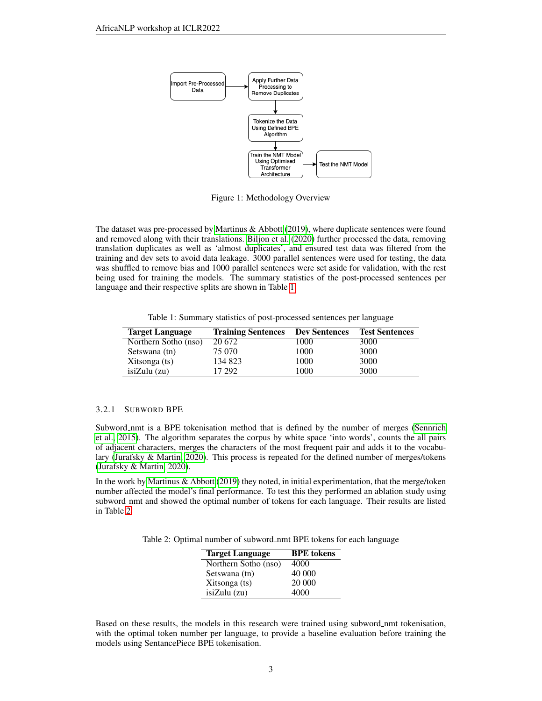

<span id="page-2-1"></span>Figure 1: Methodology Overview

The dataset was pre-processed by [Martinus & Abbott](#page-5-1) [\(2019\)](#page-5-1), where duplicate sentences were found and removed along with their translations. [Biljon et al.](#page-5-2) [\(2020\)](#page-5-2) further processed the data, removing translation duplicates as well as 'almost duplicates', and ensured test data was filtered from the training and dev sets to avoid data leakage. 3000 parallel sentences were used for testing, the data was shuffled to remove bias and 1000 parallel sentences were set aside for validation, with the rest being used for training the models. The summary statistics of the post-processed sentences per language and their respective splits are shown in Table [1.](#page-2-2)

<span id="page-2-2"></span>Table 1: Summary statistics of post-processed sentences per language

| <b>Target Language</b> | <b>Training Sentences</b> | <b>Dev Sentences</b> | <b>Test Sentences</b> |
|------------------------|---------------------------|----------------------|-----------------------|
| Northern Sotho (nso)   | 20 672                    | 1000                 | 3000                  |
| Setswana (tn)          | 75 070                    | 1000                 | 3000                  |
| Xitsonga (ts)          | 134 823                   | 1000                 | 3000                  |
| isizulu(zu)            | 17 292                    | 1000                 | 3000                  |

#### <span id="page-2-0"></span>3.2.1 SUBWORD BPE

Subword nmt is a BPE tokenisation method that is defined by the number of merges [\(Sennrich](#page-6-2) [et al., 2015\)](#page-6-2). The algorithm separates the corpus by white space 'into words', counts the all pairs of adjacent characters, merges the characters of the most frequent pair and adds it to the vocabulary [\(Jurafsky & Martin, 2020\)](#page-5-6). This process is repeated for the defined number of merges/tokens [\(Jurafsky & Martin, 2020\)](#page-5-6).

In the work by [Martinus & Abbott](#page-5-1) [\(2019\)](#page-5-1) they noted, in initial experimentation, that the merge/token number affected the model's final performance. To test this they performed an ablation study using subword\_nmt and showed the optimal number of tokens for each language. Their results are listed in Table [2.](#page-2-3)

<span id="page-2-3"></span>Table 2: Optimal number of subword nmt BPE tokens for each language

| <b>Target Language</b> | <b>BPE</b> tokens |
|------------------------|-------------------|
| Northern Sotho (nso)   | 4000              |
| Setswana (tn)          | 40 000            |
| Xitsonga (ts)          | 20 000            |
| isizulu(zu)            | 4000              |

Based on these results, the models in this research were trained using subword nmt tokenisation, with the optimal token number per language, to provide a baseline evaluation before training the models using SentancePiece BPE tokenisation.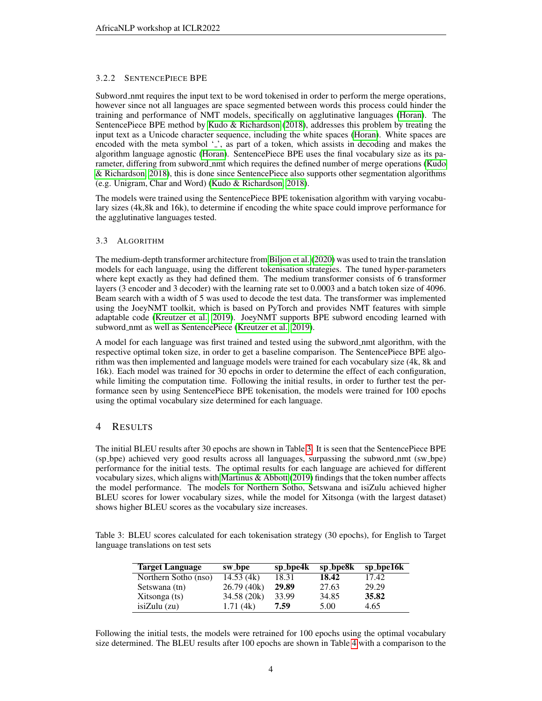#### 3.2.2 SENTENCEPIECE BPE

Subword nmt requires the input text to be word tokenised in order to perform the merge operations, however since not all languages are space segmented between words this process could hinder the training and performance of NMT models, specifically on agglutinative languages [\(Horan\)](#page-5-4). The SentencePiece BPE method by [Kudo & Richardson](#page-5-7) [\(2018\)](#page-5-7), addresses this problem by treating the input text as a Unicode character sequence, including the white spaces [\(Horan\)](#page-5-4). White spaces are encoded with the meta symbol '.', as part of a token, which assists in decoding and makes the algorithm language agnostic [\(Horan\)](#page-5-4). SentencePiece BPE uses the final vocabulary size as its pa-rameter, differing from subword nmt which requires the defined number of merge operations [\(Kudo](#page-5-7) [& Richardson, 2018\)](#page-5-7), this is done since SentencePiece also supports other segmentation algorithms (e.g. Unigram, Char and Word) [\(Kudo & Richardson, 2018\)](#page-5-7).

The models were trained using the SentencePiece BPE tokenisation algorithm with varying vocabulary sizes (4k,8k and 16k), to determine if encoding the white space could improve performance for the agglutinative languages tested.

#### 3.3 ALGORITHM

The medium-depth transformer architecture from [Biljon et al.](#page-5-2) [\(2020\)](#page-5-2) was used to train the translation models for each language, using the different tokenisation strategies. The tuned hyper-parameters where kept exactly as they had defined them. The medium transformer consists of 6 transformer layers (3 encoder and 3 decoder) with the learning rate set to 0.0003 and a batch token size of 4096. Beam search with a width of 5 was used to decode the test data. The transformer was implemented using the JoeyNMT toolkit, which is based on PyTorch and provides NMT features with simple adaptable code [\(Kreutzer et al., 2019\)](#page-5-8). JoeyNMT supports BPE subword encoding learned with subword\_nmt as well as SentencePiece [\(Kreutzer et al., 2019\)](#page-5-8).

A model for each language was first trained and tested using the subword nmt algorithm, with the respective optimal token size, in order to get a baseline comparison. The SentencePiece BPE algorithm was then implemented and language models were trained for each vocabulary size (4k, 8k and 16k). Each model was trained for 30 epochs in order to determine the effect of each configuration, while limiting the computation time. Following the initial results, in order to further test the performance seen by using SentencePiece BPE tokenisation, the models were trained for 100 epochs using the optimal vocabulary size determined for each language.

#### <span id="page-3-0"></span>4 RESULTS

The initial BLEU results after 30 epochs are shown in Table [3.](#page-3-1) It is seen that the SentencePiece BPE (sp bpe) achieved very good results across all languages, surpassing the subword nmt (sw bpe) performance for the initial tests. The optimal results for each language are achieved for different vocabulary sizes, which aligns with [Martinus & Abbott](#page-5-1) [\(2019\)](#page-5-1) findings that the token number affects the model performance. The models for Northern Sotho, Setswana and isiZulu achieved higher BLEU scores for lower vocabulary sizes, while the model for Xitsonga (with the largest dataset) shows higher BLEU scores as the vocabulary size increases.

<span id="page-3-1"></span>

| Table 3: BLEU scores calculated for each tokenisation strategy (30 epochs), for English to Target |  |  |  |
|---------------------------------------------------------------------------------------------------|--|--|--|
| language translations on test sets                                                                |  |  |  |

| <b>Target Language</b> | sw_bpe      | sp_bpe4k | sp_bpe8k | sp_bpe16k |
|------------------------|-------------|----------|----------|-----------|
| Northern Sotho (nso)   | 14.53(4k)   | 18.31    | 18.42    | 17.42     |
| Setswana (tn)          | 26.79(40k)  | 29.89    | 27.63    | 29.29     |
| Xitsonga (ts)          | 34.58 (20k) | 33.99    | 34.85    | 35.82     |
| isizulu(zu)            | 1.71(4k)    | 7.59     | 5.00     | 4.65      |

Following the initial tests, the models were retrained for 100 epochs using the optimal vocabulary size determined. The BLEU results after 100 epochs are shown in Table [4](#page-4-2) with a comparison to the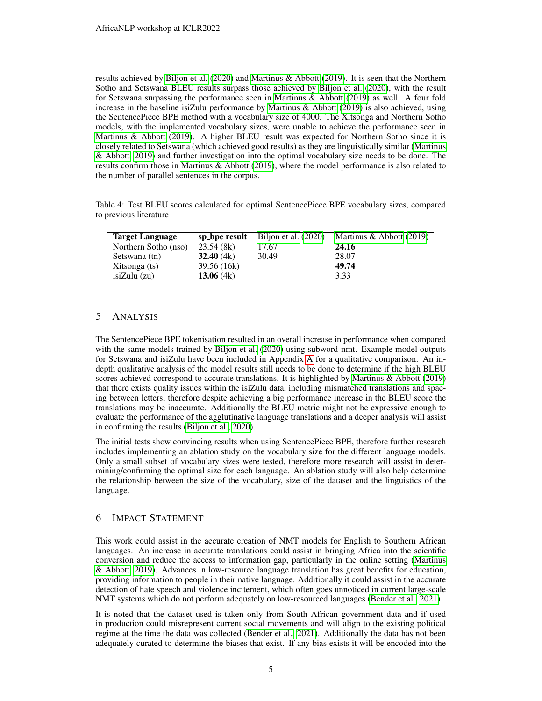results achieved by [Biljon et al.](#page-5-2) [\(2020\)](#page-5-2) and [Martinus & Abbott](#page-5-1) [\(2019\)](#page-5-1). It is seen that the Northern Sotho and Setswana BLEU results surpass those achieved by [Biljon et al.](#page-5-2) [\(2020\)](#page-5-2), with the result for Setswana surpassing the performance seen in [Martinus & Abbott](#page-5-1) [\(2019\)](#page-5-1) as well. A four fold increase in the baseline isiZulu performance by Martinus  $\&$  Abbott [\(2019\)](#page-5-1) is also achieved, using the SentencePiece BPE method with a vocabulary size of 4000. The Xitsonga and Northern Sotho models, with the implemented vocabulary sizes, were unable to achieve the performance seen in [Martinus & Abbott](#page-5-1) [\(2019\)](#page-5-1). A higher BLEU result was expected for Northern Sotho since it is closely related to Setswana (which achieved good results) as they are linguistically similar [\(Martinus](#page-5-1) [& Abbott, 2019\)](#page-5-1) and further investigation into the optimal vocabulary size needs to be done. The results confirm those in [Martinus & Abbott](#page-5-1) [\(2019\)](#page-5-1), where the model performance is also related to the number of parallel sentences in the corpus.

<span id="page-4-2"></span>Table 4: Test BLEU scores calculated for optimal SentencePiece BPE vocabulary sizes, compared to previous literature

| <b>Target Language</b> | sp_bpe result | Biljon et al. (2020) | Martinus & Abbott (2019) |
|------------------------|---------------|----------------------|--------------------------|
| Northern Sotho (nso)   | 23.54(8k)     | 17.67                | 24.16                    |
| Setswana (tn)          | 32.40(4k)     | 30.49                | 28.07                    |
| Xitsonga (ts)          | 39.56 (16k)   |                      | 49.74                    |
| isizulu(zu)            | 13.06 $(4k)$  |                      | 3.33                     |

## <span id="page-4-0"></span>5 ANALYSIS

The SentencePiece BPE tokenisation resulted in an overall increase in performance when compared with the same models trained by [Biljon et al.](#page-5-2) [\(2020\)](#page-5-2) using subword\_nmt. Example model outputs for Setswana and isiZulu have been included in Appendix [A](#page-7-0) for a qualitative comparison. An indepth qualitative analysis of the model results still needs to be done to determine if the high BLEU scores achieved correspond to accurate translations. It is highlighted by [Martinus & Abbott](#page-5-1) [\(2019\)](#page-5-1) that there exists quality issues within the isiZulu data, including mismatched translations and spacing between letters, therefore despite achieving a big performance increase in the BLEU score the translations may be inaccurate. Additionally the BLEU metric might not be expressive enough to evaluate the performance of the agglutinative language translations and a deeper analysis will assist in confirming the results [\(Biljon et al., 2020\)](#page-5-2).

The initial tests show convincing results when using SentencePiece BPE, therefore further research includes implementing an ablation study on the vocabulary size for the different language models. Only a small subset of vocabulary sizes were tested, therefore more research will assist in determining/confirming the optimal size for each language. An ablation study will also help determine the relationship between the size of the vocabulary, size of the dataset and the linguistics of the language.

## <span id="page-4-1"></span>6 IMPACT STATEMENT

This work could assist in the accurate creation of NMT models for English to Southern African languages. An increase in accurate translations could assist in bringing Africa into the scientific conversion and reduce the access to information gap, particularly in the online setting [\(Martinus](#page-5-1) [& Abbott, 2019\)](#page-5-1). Advances in low-resource language translation has great benefits for education, providing information to people in their native language. Additionally it could assist in the accurate detection of hate speech and violence incitement, which often goes unnoticed in current large-scale NMT systems which do not perform adequately on low-resourced languages [\(Bender et al., 2021\)](#page-5-9)

It is noted that the dataset used is taken only from South African government data and if used in production could misrepresent current social movements and will align to the existing political regime at the time the data was collected [\(Bender et al., 2021\)](#page-5-9). Additionally the data has not been adequately curated to determine the biases that exist. If any bias exists it will be encoded into the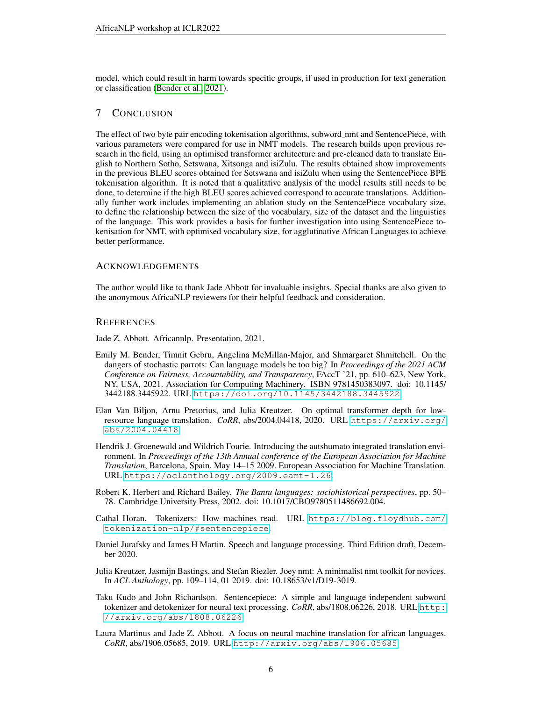model, which could result in harm towards specific groups, if used in production for text generation or classification [\(Bender et al., 2021\)](#page-5-9).

#### 7 CONCLUSION

The effect of two byte pair encoding tokenisation algorithms, subword nmt and SentencePiece, with various parameters were compared for use in NMT models. The research builds upon previous research in the field, using an optimised transformer architecture and pre-cleaned data to translate English to Northern Sotho, Setswana, Xitsonga and isiZulu. The results obtained show improvements in the previous BLEU scores obtained for Setswana and isiZulu when using the SentencePiece BPE tokenisation algorithm. It is noted that a qualitative analysis of the model results still needs to be done, to determine if the high BLEU scores achieved correspond to accurate translations. Additionally further work includes implementing an ablation study on the SentencePiece vocabulary size, to define the relationship between the size of the vocabulary, size of the dataset and the linguistics of the language. This work provides a basis for further investigation into using SentencePiece tokenisation for NMT, with optimised vocabulary size, for agglutinative African Languages to achieve better performance.

#### ACKNOWLEDGEMENTS

The author would like to thank Jade Abbott for invaluable insights. Special thanks are also given to the anonymous AfricaNLP reviewers for their helpful feedback and consideration.

#### **REFERENCES**

<span id="page-5-0"></span>Jade Z. Abbott. Africannlp. Presentation, 2021.

- <span id="page-5-9"></span>Emily M. Bender, Timnit Gebru, Angelina McMillan-Major, and Shmargaret Shmitchell. On the dangers of stochastic parrots: Can language models be too big? In *Proceedings of the 2021 ACM Conference on Fairness, Accountability, and Transparency*, FAccT '21, pp. 610–623, New York, NY, USA, 2021. Association for Computing Machinery. ISBN 9781450383097. doi: 10.1145/ 3442188.3445922. URL <https://doi.org/10.1145/3442188.3445922>.
- <span id="page-5-2"></span>Elan Van Biljon, Arnu Pretorius, and Julia Kreutzer. On optimal transformer depth for lowresource language translation. *CoRR*, abs/2004.04418, 2020. URL [https://arxiv.org/](https://arxiv.org/abs/2004.04418) [abs/2004.04418](https://arxiv.org/abs/2004.04418).
- <span id="page-5-3"></span>Hendrik J. Groenewald and Wildrich Fourie. Introducing the autshumato integrated translation environment. In *Proceedings of the 13th Annual conference of the European Association for Machine Translation*, Barcelona, Spain, May 14–15 2009. European Association for Machine Translation. URL <https://aclanthology.org/2009.eamt-1.26>.
- <span id="page-5-5"></span>Robert K. Herbert and Richard Bailey. *The Bantu languages: sociohistorical perspectives*, pp. 50– 78. Cambridge University Press, 2002. doi: 10.1017/CBO9780511486692.004.
- <span id="page-5-4"></span>Cathal Horan. Tokenizers: How machines read. URL [https://blog.floydhub.com/](https://blog.floydhub.com/tokenization-nlp/#sentencepiece) [tokenization-nlp/#sentencepiece](https://blog.floydhub.com/tokenization-nlp/#sentencepiece).
- <span id="page-5-6"></span>Daniel Jurafsky and James H Martin. Speech and language processing. Third Edition draft, December 2020.
- <span id="page-5-8"></span>Julia Kreutzer, Jasmijn Bastings, and Stefan Riezler. Joey nmt: A minimalist nmt toolkit for novices. In *ACL Anthology*, pp. 109–114, 01 2019. doi: 10.18653/v1/D19-3019.
- <span id="page-5-7"></span>Taku Kudo and John Richardson. Sentencepiece: A simple and language independent subword tokenizer and detokenizer for neural text processing. *CoRR*, abs/1808.06226, 2018. URL [http:](http://arxiv.org/abs/1808.06226) [//arxiv.org/abs/1808.06226](http://arxiv.org/abs/1808.06226).
- <span id="page-5-1"></span>Laura Martinus and Jade Z. Abbott. A focus on neural machine translation for african languages. *CoRR*, abs/1906.05685, 2019. URL <http://arxiv.org/abs/1906.05685>.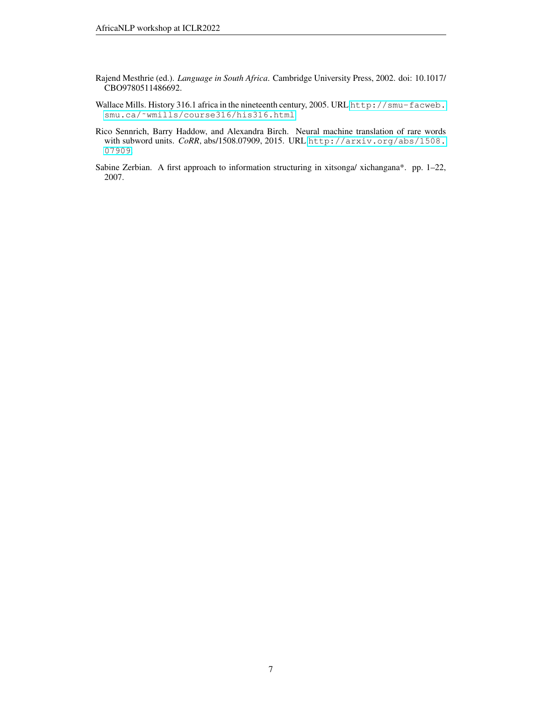- <span id="page-6-1"></span>Rajend Mesthrie (ed.). *Language in South Africa*. Cambridge University Press, 2002. doi: 10.1017/ CBO9780511486692.
- <span id="page-6-3"></span>Wallace Mills. History 316.1 africa in the nineteenth century, 2005. URL [http://smu-facweb.](http://smu-facweb.smu.ca/~wmills/course316/his316.html) smu.ca/~wmills/course316/his316.html.
- <span id="page-6-2"></span>Rico Sennrich, Barry Haddow, and Alexandra Birch. Neural machine translation of rare words with subword units. *CoRR*, abs/1508.07909, 2015. URL [http://arxiv.org/abs/1508.](http://arxiv.org/abs/1508.07909) [07909](http://arxiv.org/abs/1508.07909).
- <span id="page-6-0"></span>Sabine Zerbian. A first approach to information structuring in xitsonga/ xichangana\*. pp. 1–22, 2007.